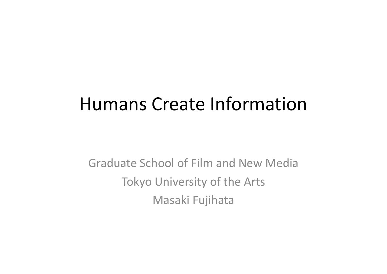## Humans Create Information

Graduate School of Film and New Media Tokyo University of the Arts Masaki Fujihata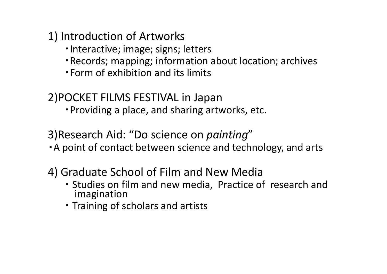1) Introduction of Artworks

- ・Interactive; image; signs; letters
- ・Records; mapping; information about location; archives
- ・Form of exhibition and its limits

2)POCKET FILMS FESTIVAL in Japan ・Providing <sup>a</sup> place, and sharing artworks, etc.

3)Research Aid: "Do science on *painting* " ・A point of contact between science and technology, and arts

4) Graduate School of Film and New Media

- ・ Studies on film and new media, Practice of research and imagination
- ・ Training of scholars and artists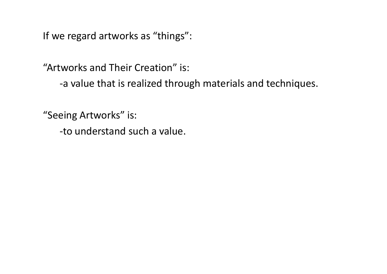If we regard artworks as "things":

"Artworks and Their Creation" is:

‐a value that is realized through materials and techniques.

"Seeing Artworks" is:

‐to understand such <sup>a</sup> value.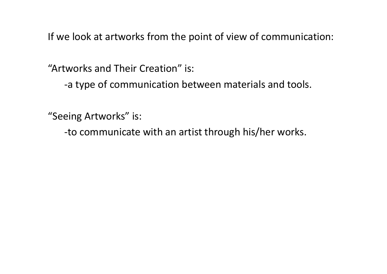If we look at artworks from the point of view of communication:

"Artworks and Their Creation" is:

‐a type of communication between materials and tools.

"Seeing Artworks" is:

‐to communicate with an artist through his/her works.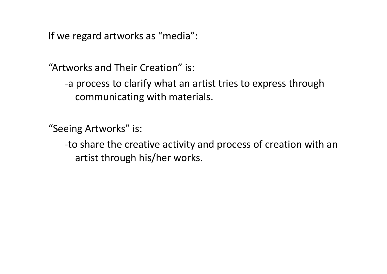If we regard artworks as "media":

"Artworks and Their Creation" is:

‐a process to clarify what an artist tries to express through communicating with materials.

"Seeing Artworks" is:

‐to share the creative activity and process of creation with an artist through his/her works.